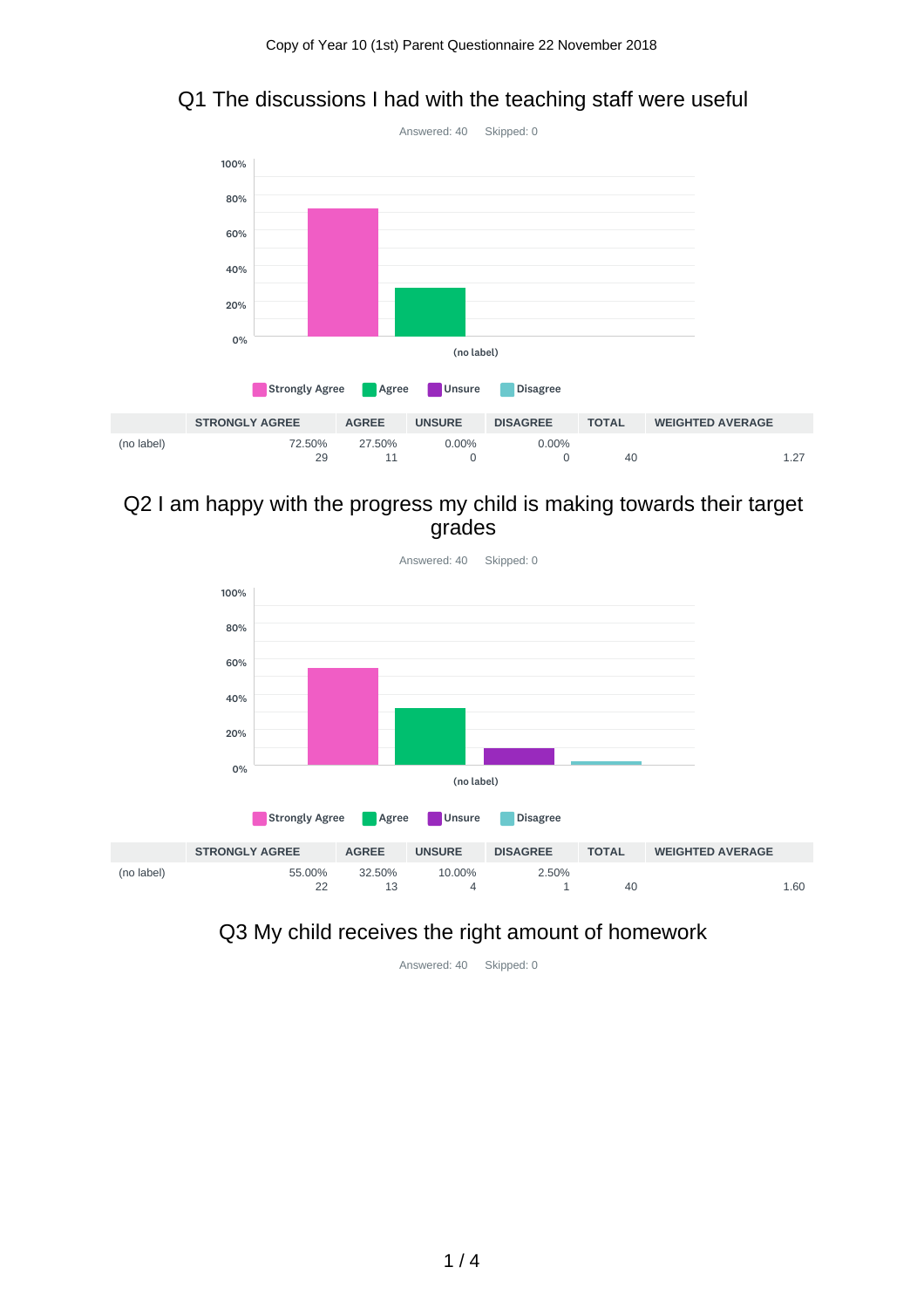### Q1 The discussions I had with the teaching staff were useful



#### Q2 I am happy with the progress my child is making towards their target grades



Answered: 40 Skipped: 0

## Q3 My child receives the right amount of homework

Answered: 40 Skipped: 0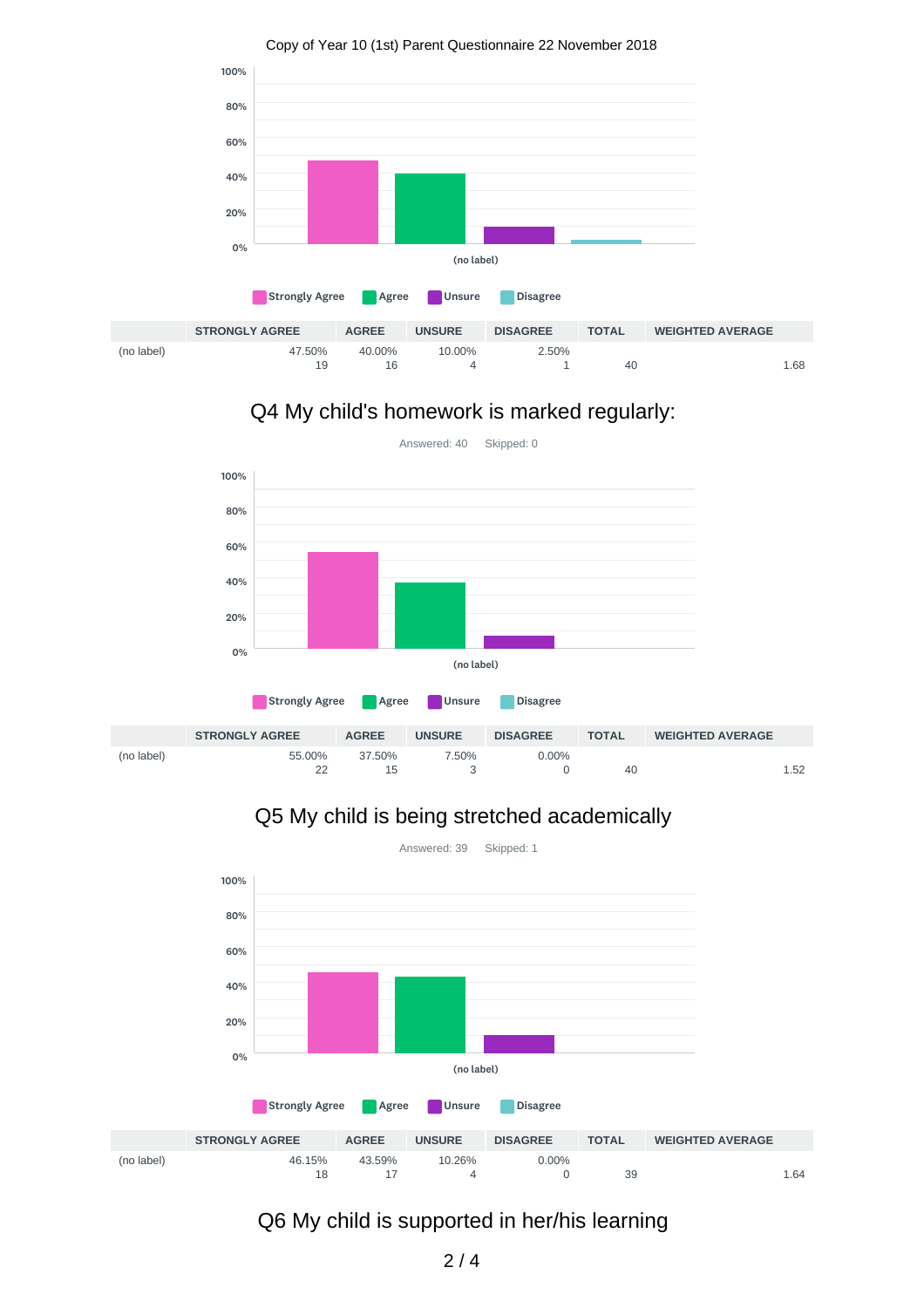

Copy of Year 10 (1st) Parent Questionnaire 22 November 2018

# Q4 My child's homework is marked regularly:



55.00% 22 37.50% 15 7.50% 3 0.00% 0 40 1.52 (no label)

# Q5 My child is being stretched academically



Answered: 39 Skipped: 1

# Q6 My child is supported in her/his learning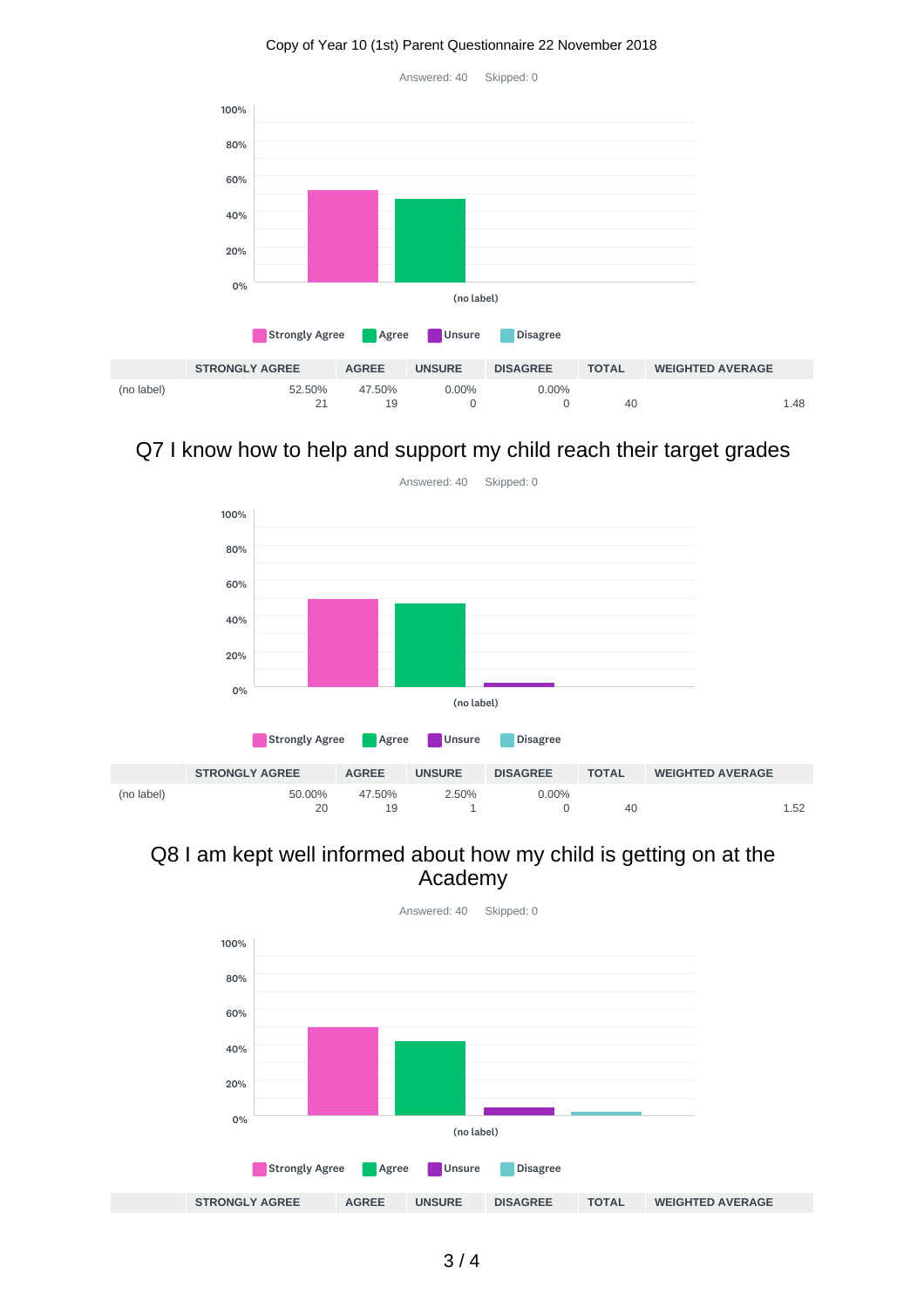#### Copy of Year 10 (1st) Parent Questionnaire 22 November 2018

Answered: 40 Skipped: 0



## Q7 I know how to help and support my child reach their target grades



#### Q8 I am kept well informed about how my child is getting on at the Academy